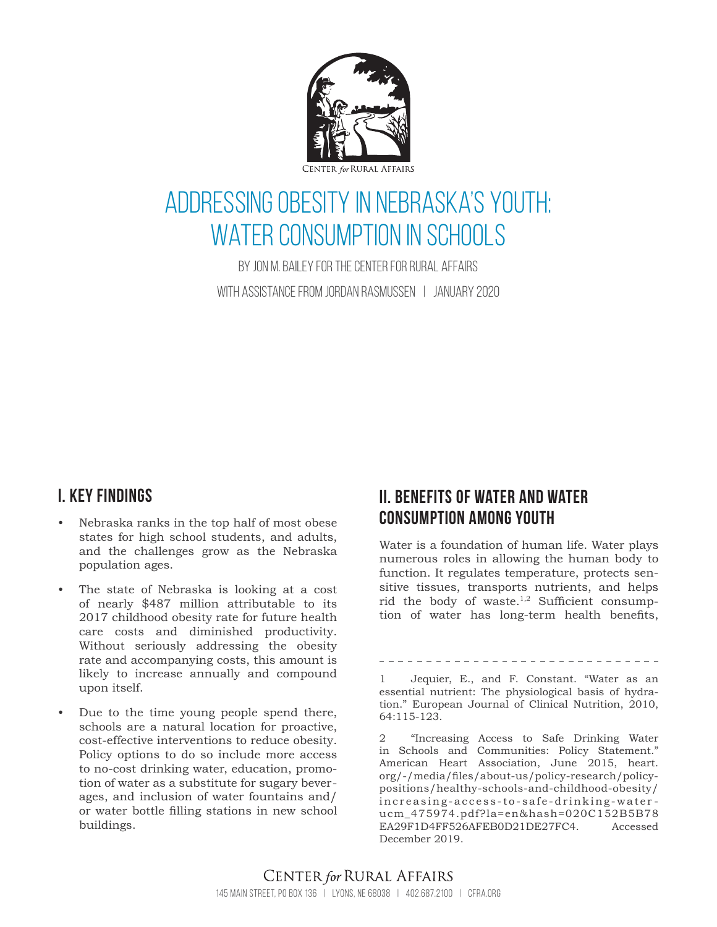

# Addressing Obesity in Nebraska's Youth: WATER CONSUMPTION IN SCHOOLS

By Jon M. Bailey for the center for rural affairs with assistance from Jordan Rasmussen | January 2020

# **I. key findings**

- Nebraska ranks in the top half of most obese states for high school students, and adults, and the challenges grow as the Nebraska population ages.
- The state of Nebraska is looking at a cost of nearly \$487 million attributable to its 2017 childhood obesity rate for future health care costs and diminished productivity. Without seriously addressing the obesity rate and accompanying costs, this amount is likely to increase annually and compound upon itself.
- Due to the time young people spend there, schools are a natural location for proactive, cost-effective interventions to reduce obesity. Policy options to do so include more access to no-cost drinking water, education, promotion of water as a substitute for sugary beverages, and inclusion of water fountains and/ or water bottle filling stations in new school buildings.

# **II. Benefits of water and water consumption among youth**

Water is a foundation of human life. Water plays numerous roles in allowing the human body to function. It regulates temperature, protects sensitive tissues, transports nutrients, and helps rid the body of waste.<sup>1,2</sup> Sufficient consumption of water has long-term health benefits,

1 Jequier, E., and F. Constant. "Water as an essential nutrient: The physiological basis of hydration." European Journal of Clinical Nutrition, 2010, 64:115-123.

2 "Increasing Access to Safe Drinking Water in Schools and Communities: Policy Statement." American Heart Association, June 2015, heart. org/-/media/files/about-us/policy-research/policypositions/healthy-schools-and-childhood-obesity/ increasing-access-to-safe-drinking-waterucm\_475974.pdf?la=en&hash=020C152B5B78 EA29F1D4FF526AFEB0D21DE27FC4. Accessed December 2019.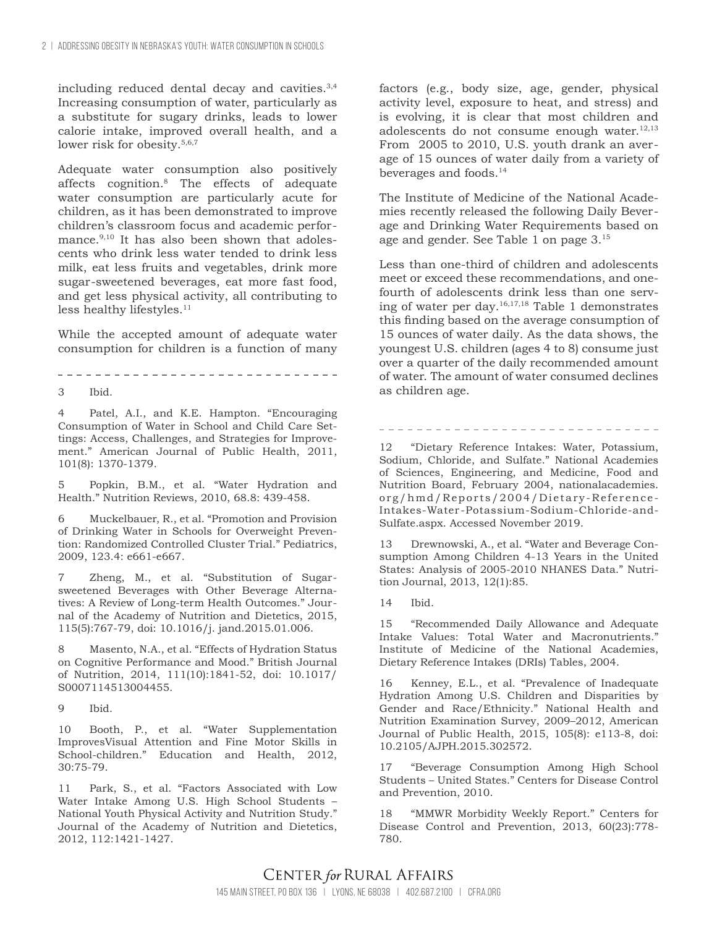including reduced dental decay and cavities.3,4 Increasing consumption of water, particularly as a substitute for sugary drinks, leads to lower calorie intake, improved overall health, and a lower risk for obesity.<sup>5,6,7</sup>

Adequate water consumption also positively affects cognition.8 The effects of adequate water consumption are particularly acute for children, as it has been demonstrated to improve children's classroom focus and academic performance.<sup>9,10</sup> It has also been shown that adolescents who drink less water tended to drink less milk, eat less fruits and vegetables, drink more sugar-sweetened beverages, eat more fast food, and get less physical activity, all contributing to less healthy lifestyles.<sup>11</sup>

While the accepted amount of adequate water consumption for children is a function of many

3 Ibid.

4 Patel, A.I., and K.E. Hampton. "Encouraging Consumption of Water in School and Child Care Settings: Access, Challenges, and Strategies for Improvement." American Journal of Public Health, 2011, 101(8): 1370-1379.

5 Popkin, B.M., et al. "Water Hydration and Health." Nutrition Reviews, 2010, 68.8: 439-458.

6 Muckelbauer, R., et al. "Promotion and Provision of Drinking Water in Schools for Overweight Prevention: Randomized Controlled Cluster Trial." Pediatrics, 2009, 123.4: e661-e667.

7 Zheng, M., et al. "Substitution of Sugarsweetened Beverages with Other Beverage Alternatives: A Review of Long-term Health Outcomes." Journal of the Academy of Nutrition and Dietetics, 2015, 115(5):767-79, doi: 10.1016/j. jand.2015.01.006.

8 Masento, N.A., et al. "Effects of Hydration Status on Cognitive Performance and Mood." British Journal of Nutrition, 2014, 111(10):1841-52, doi: 10.1017/ S0007114513004455.

9 Ibid.

10 Booth, P., et al. "Water Supplementation ImprovesVisual Attention and Fine Motor Skills in School-children." Education and Health, 2012, 30:75-79.

11 Park, S., et al. "Factors Associated with Low Water Intake Among U.S. High School Students – National Youth Physical Activity and Nutrition Study." Journal of the Academy of Nutrition and Dietetics, 2012, 112:1421-1427.

factors (e.g., body size, age, gender, physical activity level, exposure to heat, and stress) and is evolving, it is clear that most children and adolescents do not consume enough water.<sup>12,13</sup> From 2005 to 2010, U.S. youth drank an average of 15 ounces of water daily from a variety of beverages and foods.14

The Institute of Medicine of the National Academies recently released the following Daily Beverage and Drinking Water Requirements based on age and gender. See Table 1 on page 3.15

Less than one-third of children and adolescents meet or exceed these recommendations, and onefourth of adolescents drink less than one serving of water per day.16,17,18 Table 1 demonstrates this finding based on the average consumption of 15 ounces of water daily. As the data shows, the youngest U.S. children (ages 4 to 8) consume just over a quarter of the daily recommended amount of water. The amount of water consumed declines as children age.

12 "Dietary Reference Intakes: Water, Potassium, Sodium, Chloride, and Sulfate." National Academies of Sciences, Engineering, and Medicine, Food and Nutrition Board, February 2004, nationalacademies. org/hmd/Reports/2004/Dietary-Reference-Intakes-Water-Potassium-Sodium-Chloride-and-Sulfate.aspx. Accessed November 2019.

13 Drewnowski, A., et al. "Water and Beverage Consumption Among Children 4-13 Years in the United States: Analysis of 2005-2010 NHANES Data." Nutrition Journal, 2013, 12(1):85.

14 Ibid.

15 "Recommended Daily Allowance and Adequate Intake Values: Total Water and Macronutrients." Institute of Medicine of the National Academies, Dietary Reference Intakes (DRIs) Tables, 2004.

16 Kenney, E.L., et al. "Prevalence of Inadequate Hydration Among U.S. Children and Disparities by Gender and Race/Ethnicity." National Health and Nutrition Examination Survey, 2009–2012, American Journal of Public Health, 2015, 105(8): e113-8, doi: 10.2105/AJPH.2015.302572.

17 "Beverage Consumption Among High School Students – United States." Centers for Disease Control and Prevention, 2010.

18 "MMWR Morbidity Weekly Report." Centers for Disease Control and Prevention, 2013, 60(23):778- 780.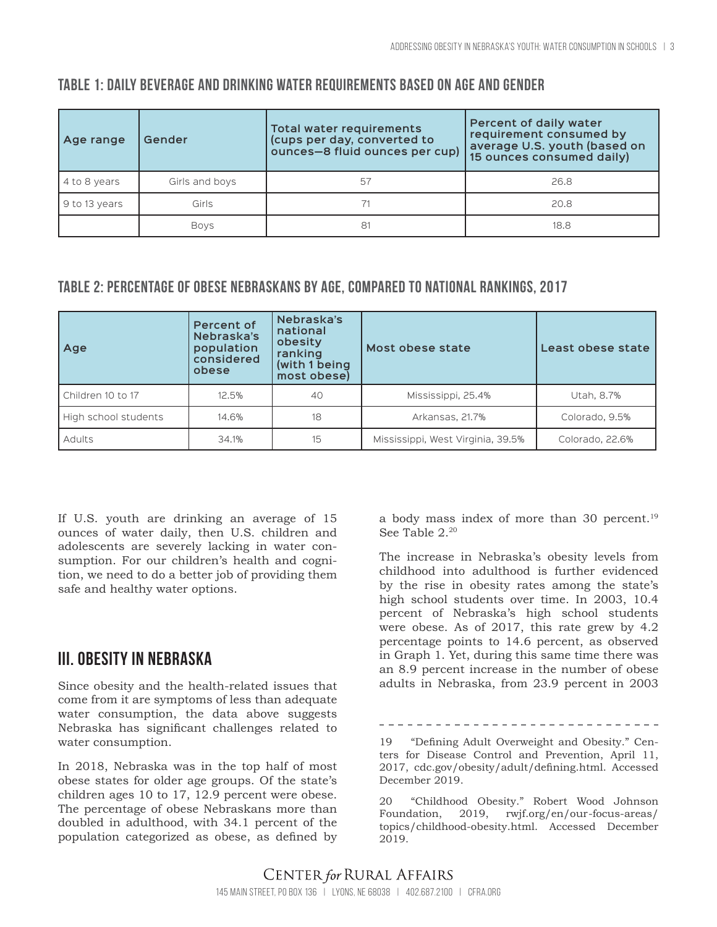| Age range    | Gender         | Total water requirements<br>(cups per day, converted to<br>ounces-8 fluid ounces per cup) | Percent of daily water<br>requirement consumed by<br>average U.S. youth (based on<br>15 ounces consumed daily) |
|--------------|----------------|-------------------------------------------------------------------------------------------|----------------------------------------------------------------------------------------------------------------|
| 4 to 8 years | Girls and boys | 5/                                                                                        | 26.8                                                                                                           |

# **Table 1: Daily beverage and drinking water requirements based on age and gender**

### **Table 2: Percentage of obese Nebraskans by age, compared to national rankings, 2017**

9 to 13 years Girls 71 20.8

| Age                  | <b>Percent of</b><br>Nebraska's<br>population<br>considered<br>obese | Nebraska's<br>national<br>obesity<br>ranking<br>(with 1 being<br>most obese) | Most obese state                  | Least obese state |
|----------------------|----------------------------------------------------------------------|------------------------------------------------------------------------------|-----------------------------------|-------------------|
| Children 10 to 17    | 12.5%                                                                | 40                                                                           | Mississippi, 25.4%                | Utah, 8.7%        |
| High school students | 14.6%                                                                | 18                                                                           | Arkansas, 21.7%                   | Colorado, 9.5%    |
| Adults               | 34.1%                                                                | 15                                                                           | Mississippi, West Virginia, 39.5% | Colorado, 22.6%   |

Boys 81 18.8

If U.S. youth are drinking an average of 15 ounces of water daily, then U.S. children and adolescents are severely lacking in water consumption. For our children's health and cognition, we need to do a better job of providing them safe and healthy water options.

# **III. Obesity in Nebraska**

Since obesity and the health-related issues that come from it are symptoms of less than adequate water consumption, the data above suggests Nebraska has significant challenges related to water consumption.

In 2018, Nebraska was in the top half of most obese states for older age groups. Of the state's children ages 10 to 17, 12.9 percent were obese. The percentage of obese Nebraskans more than doubled in adulthood, with 34.1 percent of the population categorized as obese, as defined by a body mass index of more than 30 percent.<sup>19</sup> See Table 2.20

The increase in Nebraska's obesity levels from childhood into adulthood is further evidenced by the rise in obesity rates among the state's high school students over time. In 2003, 10.4 percent of Nebraska's high school students were obese. As of 2017, this rate grew by 4.2 percentage points to 14.6 percent, as observed in Graph 1. Yet, during this same time there was an 8.9 percent increase in the number of obese adults in Nebraska, from 23.9 percent in 2003

-------------------------

20 "Childhood Obesity." Robert Wood Johnson Foundation, 2019, rwjf.org/en/our-focus-areas/ topics/childhood-obesity.html. Accessed December 2019.

<sup>19</sup> "Defining Adult Overweight and Obesity." Centers for Disease Control and Prevention, April 11, 2017, cdc.gov/obesity/adult/defining.html. Accessed December 2019.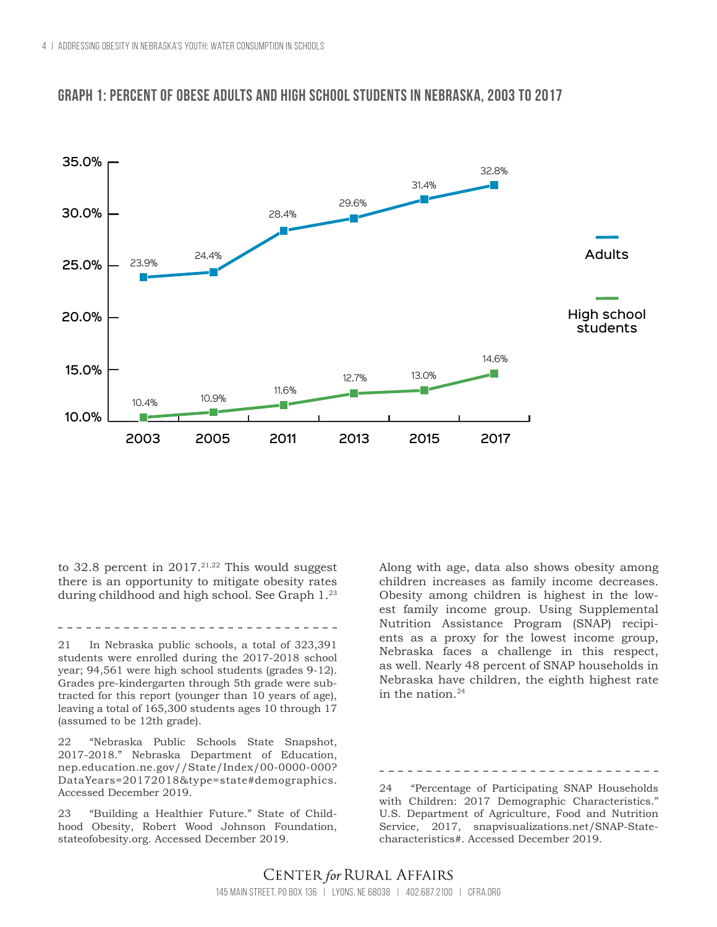

### **Graph 1: Percent of obese Adults and high school students in Nebraska, 2003 to 2017**

to 32.8 percent in  $2017$ .<sup>21,22</sup> This would suggest there is an opportunity to mitigate obesity rates during childhood and high school. See Graph 1.23

21 In Nebraska public schools, a total of 323,391 students were enrolled during the 2017-2018 school year; 94,561 were high school students (grades 9-12). Grades pre-kindergarten through 5th grade were subtracted for this report (younger than 10 years of age), leaving a total of 165,300 students ages 10 through 17 (assumed to be 12th grade).

22 "Nebraska Public Schools State Snapshot, 2017-2018." Nebraska Department of Education, nep.education.ne.gov//State/Index/00-0000-000? DataYears=20172018&type=state#demographics. Accessed December 2019.

23 "Building a Healthier Future." State of Childhood Obesity, Robert Wood Johnson Foundation, stateofobesity.org. Accessed December 2019.

Along with age, data also shows obesity among children increases as family income decreases. Obesity among children is highest in the lowest family income group. Using Supplemental Nutrition Assistance Program (SNAP) recipients as a proxy for the lowest income group, Nebraska faces a challenge in this respect, as well. Nearly 48 percent of SNAP households in Nebraska have children, the eighth highest rate in the nation. $24$ 

24 "Percentage of Participating SNAP Households with Children: 2017 Demographic Characteristics." U.S. Department of Agriculture, Food and Nutrition Service, 2017, snapvisualizations.net/SNAP-Statecharacteristics#. Accessed December 2019.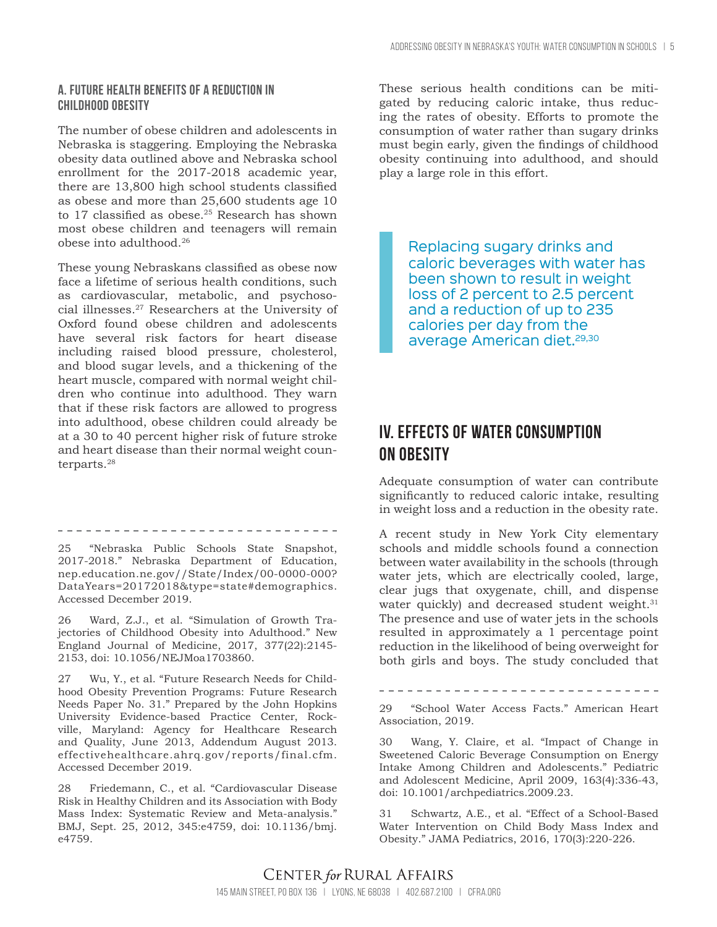#### **A. Future health benefits of a reduction in childhood obesity**

The number of obese children and adolescents in Nebraska is staggering. Employing the Nebraska obesity data outlined above and Nebraska school enrollment for the 2017-2018 academic year, there are 13,800 high school students classified as obese and more than 25,600 students age 10 to 17 classified as obese.<sup>25</sup> Research has shown most obese children and teenagers will remain obese into adulthood.26

These young Nebraskans classified as obese now face a lifetime of serious health conditions, such as cardiovascular, metabolic, and psychosocial illnesses.27 Researchers at the University of Oxford found obese children and adolescents have several risk factors for heart disease including raised blood pressure, cholesterol, and blood sugar levels, and a thickening of the heart muscle, compared with normal weight children who continue into adulthood. They warn that if these risk factors are allowed to progress into adulthood, obese children could already be at a 30 to 40 percent higher risk of future stroke and heart disease than their normal weight counterparts.28

25 "Nebraska Public Schools State Snapshot, 2017-2018." Nebraska Department of Education, nep.education.ne.gov//State/Index/00-0000-000? DataYears=20172018&type=state#demographics. Accessed December 2019.

-----------------------------

26 Ward, Z.J., et al. "Simulation of Growth Trajectories of Childhood Obesity into Adulthood." New England Journal of Medicine, 2017, 377(22):2145- 2153, doi: 10.1056/NEJMoa1703860.

27 Wu, Y., et al. "Future Research Needs for Childhood Obesity Prevention Programs: Future Research Needs Paper No. 31." Prepared by the John Hopkins University Evidence-based Practice Center, Rockville, Maryland: Agency for Healthcare Research and Quality, June 2013, Addendum August 2013. effectivehealthcare.ahrq.gov/reports/final.cfm. Accessed December 2019.

28 Friedemann, C., et al. "Cardiovascular Disease Risk in Healthy Children and its Association with Body Mass Index: Systematic Review and Meta-analysis." BMJ, Sept. 25, 2012, 345:e4759, doi: 10.1136/bmj. e4759.

These serious health conditions can be mitigated by reducing caloric intake, thus reducing the rates of obesity. Efforts to promote the consumption of water rather than sugary drinks must begin early, given the findings of childhood obesity continuing into adulthood, and should play a large role in this effort.

Replacing sugary drinks and caloric beverages with water has been shown to result in weight loss of 2 percent to 2.5 percent and a reduction of up to 235 calories per day from the average American diet.<sup>29,30</sup>

# **IV. Effects of water consumption on obesity**

Adequate consumption of water can contribute significantly to reduced caloric intake, resulting in weight loss and a reduction in the obesity rate.

A recent study in New York City elementary schools and middle schools found a connection between water availability in the schools (through water jets, which are electrically cooled, large, clear jugs that oxygenate, chill, and dispense water quickly) and decreased student weight.<sup>31</sup> The presence and use of water jets in the schools resulted in approximately a 1 percentage point reduction in the likelihood of being overweight for both girls and boys. The study concluded that

29 "School Water Access Facts." American Heart Association, 2019.

30 Wang, Y. Claire, et al. "Impact of Change in Sweetened Caloric Beverage Consumption on Energy Intake Among Children and Adolescents." Pediatric and Adolescent Medicine, April 2009, 163(4):336-43, doi: 10.1001/archpediatrics.2009.23.

31 Schwartz, A.E., et al. "Effect of a School-Based Water Intervention on Child Body Mass Index and Obesity." JAMA Pediatrics, 2016, 170(3):220-226.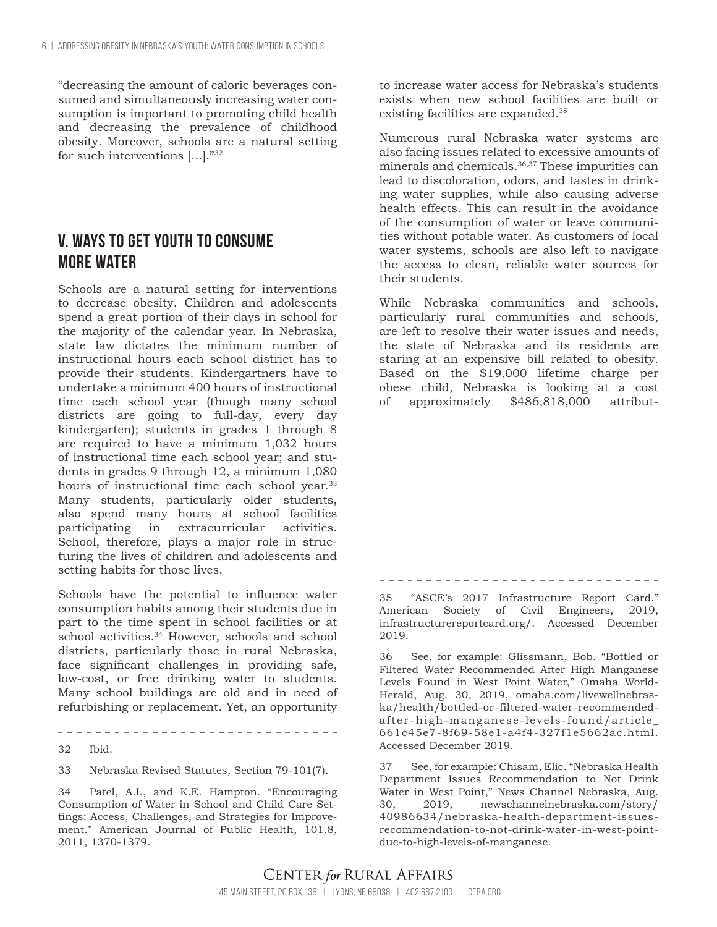"decreasing the amount of caloric beverages consumed and simultaneously increasing water consumption is important to promoting child health and decreasing the prevalence of childhood obesity. Moreover, schools are a natural setting for such interventions [...]."32

# **V. Ways to get youth to consume more water**

Schools are a natural setting for interventions to decrease obesity. Children and adolescents spend a great portion of their days in school for the majority of the calendar year. In Nebraska, state law dictates the minimum number of instructional hours each school district has to provide their students. Kindergartners have to undertake a minimum 400 hours of instructional time each school year (though many school districts are going to full-day, every day kindergarten); students in grades 1 through 8 are required to have a minimum 1,032 hours of instructional time each school year; and students in grades 9 through 12, a minimum 1,080 hours of instructional time each school year.<sup>33</sup> Many students, particularly older students, also spend many hours at school facilities participating in extracurricular activities. School, therefore, plays a major role in structuring the lives of children and adolescents and setting habits for those lives.

Schools have the potential to influence water consumption habits among their students due in part to the time spent in school facilities or at school activities.<sup>34</sup> However, schools and school districts, particularly those in rural Nebraska, face significant challenges in providing safe, low-cost, or free drinking water to students. Many school buildings are old and in need of refurbishing or replacement. Yet, an opportunity

32 Ibid.

33 Nebraska Revised Statutes, Section 79-101(7).

-------------------------------

34 Patel, A.I., and K.E. Hampton. "Encouraging Consumption of Water in School and Child Care Settings: Access, Challenges, and Strategies for Improvement." American Journal of Public Health, 101.8, 2011, 1370-1379.

to increase water access for Nebraska's students exists when new school facilities are built or existing facilities are expanded.<sup>35</sup>

Numerous rural Nebraska water systems are also facing issues related to excessive amounts of minerals and chemicals.36,37 These impurities can lead to discoloration, odors, and tastes in drinking water supplies, while also causing adverse health effects. This can result in the avoidance of the consumption of water or leave communities without potable water. As customers of local water systems, schools are also left to navigate the access to clean, reliable water sources for their students.

While Nebraska communities and schools, particularly rural communities and schools, are left to resolve their water issues and needs, the state of Nebraska and its residents are staring at an expensive bill related to obesity. Based on the \$19,000 lifetime charge per obese child, Nebraska is looking at a cost of approximately \$486,818,000 attribut-

35 "ASCE's 2017 Infrastructure Report Card." American Society of Civil Engineers, 2019, infrastructurereportcard.org/. Accessed December 2019.

36 See, for example: Glissmann, Bob. "Bottled or Filtered Water Recommended After High Manganese Levels Found in West Point Water," Omaha World-Herald, Aug. 30, 2019, omaha.com/livewellnebraska/health/bottled-or-filtered-water-recommendedafter-high-manganese-levels-found/article\_ 661c45e7-8f69-58e1-a4f4-327f1e5662ac.html. Accessed December 2019.

37 See, for example: Chisam, Elic. "Nebraska Health Department Issues Recommendation to Not Drink Water in West Point," News Channel Nebraska, Aug. 30, 2019, newschannelnebraska.com/story/ 40986634/nebraska-health-department-issuesrecommendation-to-not-drink-water-in-west-pointdue-to-high-levels-of-manganese.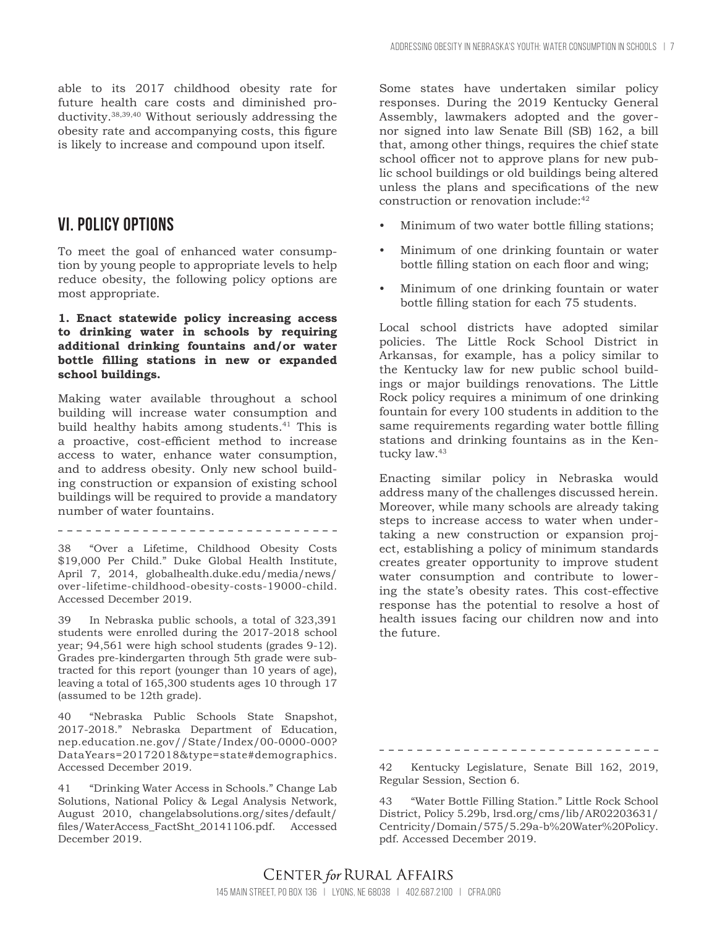able to its 2017 childhood obesity rate for future health care costs and diminished productivity.38,39,40 Without seriously addressing the obesity rate and accompanying costs, this figure is likely to increase and compound upon itself.

### **VI. policy options**

To meet the goal of enhanced water consumption by young people to appropriate levels to help reduce obesity, the following policy options are most appropriate.

#### **1. Enact statewide policy increasing access to drinking water in schools by requiring additional drinking fountains and/or water bottle filling stations in new or expanded school buildings.**

Making water available throughout a school building will increase water consumption and build healthy habits among students.<sup>41</sup> This is a proactive, cost-efficient method to increase access to water, enhance water consumption, and to address obesity. Only new school building construction or expansion of existing school buildings will be required to provide a mandatory number of water fountains.

38 "Over a Lifetime, Childhood Obesity Costs \$19,000 Per Child." Duke Global Health Institute, April 7, 2014, globalhealth.duke.edu/media/news/ over-lifetime-childhood-obesity-costs-19000-child. Accessed December 2019.

39 In Nebraska public schools, a total of 323,391 students were enrolled during the 2017-2018 school year; 94,561 were high school students (grades 9-12). Grades pre-kindergarten through 5th grade were subtracted for this report (younger than 10 years of age), leaving a total of 165,300 students ages 10 through 17 (assumed to be 12th grade).

40 "Nebraska Public Schools State Snapshot, 2017-2018." Nebraska Department of Education, nep.education.ne.gov//State/Index/00-0000-000? DataYears=20172018&type=state#demographics. Accessed December 2019.

41 "Drinking Water Access in Schools." Change Lab Solutions, National Policy & Legal Analysis Network, August 2010, changelabsolutions.org/sites/default/ files/WaterAccess\_FactSht\_20141106.pdf. Accessed December 2019.

Some states have undertaken similar policy responses. During the 2019 Kentucky General Assembly, lawmakers adopted and the governor signed into law Senate Bill (SB) 162, a bill that, among other things, requires the chief state school officer not to approve plans for new public school buildings or old buildings being altered unless the plans and specifications of the new construction or renovation include:42

- Minimum of two water bottle filling stations;
- Minimum of one drinking fountain or water bottle filling station on each floor and wing;
- Minimum of one drinking fountain or water bottle filling station for each 75 students.

Local school districts have adopted similar policies. The Little Rock School District in Arkansas, for example, has a policy similar to the Kentucky law for new public school buildings or major buildings renovations. The Little Rock policy requires a minimum of one drinking fountain for every 100 students in addition to the same requirements regarding water bottle filling stations and drinking fountains as in the Kentucky law.<sup>43</sup>

Enacting similar policy in Nebraska would address many of the challenges discussed herein. Moreover, while many schools are already taking steps to increase access to water when undertaking a new construction or expansion project, establishing a policy of minimum standards creates greater opportunity to improve student water consumption and contribute to lowering the state's obesity rates. This cost-effective response has the potential to resolve a host of health issues facing our children now and into the future.

42 Kentucky Legislature, Senate Bill 162, 2019, Regular Session, Section 6.

43 "Water Bottle Filling Station." Little Rock School District, Policy 5.29b, lrsd.org/cms/lib/AR02203631/ Centricity/Domain/575/5.29a-b%20Water%20Policy. pdf. Accessed December 2019.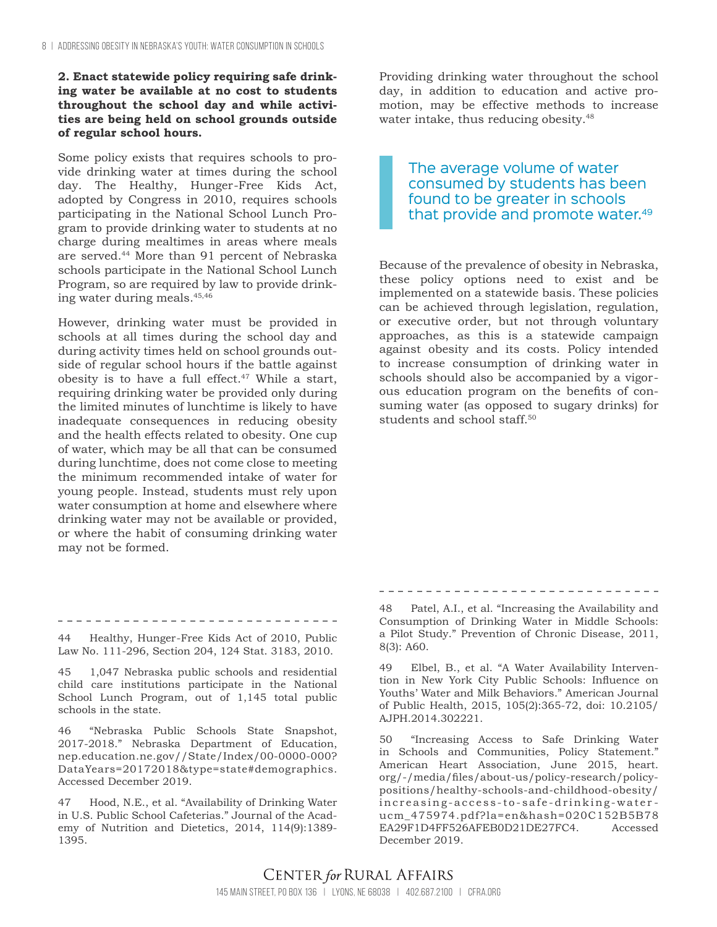#### **2. Enact statewide policy requiring safe drinking water be available at no cost to students throughout the school day and while activities are being held on school grounds outside of regular school hours.**

Some policy exists that requires schools to provide drinking water at times during the school day. The Healthy, Hunger-Free Kids Act, adopted by Congress in 2010, requires schools participating in the National School Lunch Program to provide drinking water to students at no charge during mealtimes in areas where meals are served.44 More than 91 percent of Nebraska schools participate in the National School Lunch Program, so are required by law to provide drinking water during meals.45,46

However, drinking water must be provided in schools at all times during the school day and during activity times held on school grounds outside of regular school hours if the battle against obesity is to have a full effect. $47$  While a start, requiring drinking water be provided only during the limited minutes of lunchtime is likely to have inadequate consequences in reducing obesity and the health effects related to obesity. One cup of water, which may be all that can be consumed during lunchtime, does not come close to meeting the minimum recommended intake of water for young people. Instead, students must rely upon water consumption at home and elsewhere where drinking water may not be available or provided, or where the habit of consuming drinking water may not be formed.

Providing drinking water throughout the school day, in addition to education and active promotion, may be effective methods to increase water intake, thus reducing obesity.<sup>48</sup>

The average volume of water consumed by students has been found to be greater in schools that provide and promote water.<sup>49</sup>

Because of the prevalence of obesity in Nebraska, these policy options need to exist and be implemented on a statewide basis. These policies can be achieved through legislation, regulation, or executive order, but not through voluntary approaches, as this is a statewide campaign against obesity and its costs. Policy intended to increase consumption of drinking water in schools should also be accompanied by a vigorous education program on the benefits of consuming water (as opposed to sugary drinks) for students and school staff.<sup>50</sup>

--------------------------------

-------------------------------44 Healthy, Hunger-Free Kids Act of 2010, Public Law No. 111-296, Section 204, 124 Stat. 3183, 2010.

45 1,047 Nebraska public schools and residential child care institutions participate in the National School Lunch Program, out of 1,145 total public schools in the state.

46 "Nebraska Public Schools State Snapshot, 2017-2018." Nebraska Department of Education, nep.education.ne.gov//State/Index/00-0000-000? DataYears=20172018&type=state#demographics. Accessed December 2019.

47 Hood, N.E., et al. "Availability of Drinking Water in U.S. Public School Cafeterias." Journal of the Academy of Nutrition and Dietetics, 2014, 114(9):1389- 1395.

48 Patel, A.I., et al. "Increasing the Availability and Consumption of Drinking Water in Middle Schools: a Pilot Study." Prevention of Chronic Disease, 2011, 8(3): A60.

49 Elbel, B., et al. "A Water Availability Intervention in New York City Public Schools: Influence on Youths' Water and Milk Behaviors." American Journal of Public Health, 2015, 105(2):365-72, doi: 10.2105/ AJPH.2014.302221.

50 "Increasing Access to Safe Drinking Water in Schools and Communities, Policy Statement." American Heart Association, June 2015, heart. org/-/media/files/about-us/policy-research/policypositions/healthy-schools-and-childhood-obesity/ increasing-access-to-safe-drinking-waterucm\_475974.pdf?la=en&hash=020C152B5B78 EA29F1D4FF526AFEB0D21DE27FC4. Accessed December 2019.